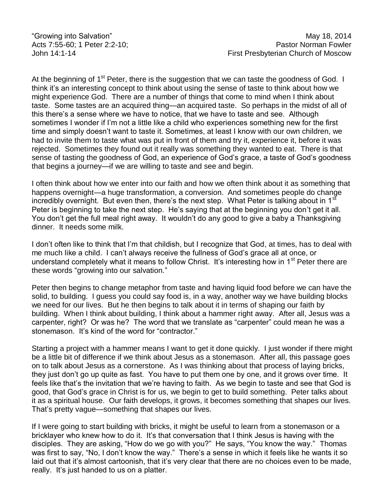At the beginning of 1<sup>st</sup> Peter, there is the suggestion that we can taste the goodness of God. I think it's an interesting concept to think about using the sense of taste to think about how we might experience God. There are a number of things that come to mind when I think about taste. Some tastes are an acquired thing—an acquired taste. So perhaps in the midst of all of this there's a sense where we have to notice, that we have to taste and see. Although sometimes I wonder if I'm not a little like a child who experiences something new for the first time and simply doesn't want to taste it. Sometimes, at least I know with our own children, we had to invite them to taste what was put in front of them and try it, experience it, before it was rejected. Sometimes they found out it really was something they wanted to eat. There is that sense of tasting the goodness of God, an experience of God's grace, a taste of God's goodness that begins a journey—if we are willing to taste and see and begin.

I often think about how we enter into our faith and how we often think about it as something that happens overnight—a huge transformation, a conversion. And sometimes people do change incredibly overnight. But even then, there's the next step. What Peter is talking about in 1<sup>st</sup> Peter is beginning to take the next step. He's saying that at the beginning you don't get it all. You don't get the full meal right away. It wouldn't do any good to give a baby a Thanksgiving dinner. It needs some milk.

I don't often like to think that I'm that childish, but I recognize that God, at times, has to deal with me much like a child. I can't always receive the fullness of God's grace all at once, or understand completely what it means to follow Christ. It's interesting how in 1<sup>st</sup> Peter there are these words "growing into our salvation."

Peter then begins to change metaphor from taste and having liquid food before we can have the solid, to building. I guess you could say food is, in a way, another way we have building blocks we need for our lives. But he then begins to talk about it in terms of shaping our faith by building. When I think about building, I think about a hammer right away. After all, Jesus was a carpenter, right? Or was he? The word that we translate as "carpenter" could mean he was a stonemason. It's kind of the word for "contractor."

Starting a project with a hammer means I want to get it done quickly. I just wonder if there might be a little bit of difference if we think about Jesus as a stonemason. After all, this passage goes on to talk about Jesus as a cornerstone. As I was thinking about that process of laying bricks, they just don't go up quite as fast. You have to put them one by one, and it grows over time. It feels like that's the invitation that we're having to faith. As we begin to taste and see that God is good, that God's grace in Christ is for us, we begin to get to build something. Peter talks about it as a spiritual house. Our faith develops, it grows, it becomes something that shapes our lives. That's pretty vague—something that shapes our lives.

If I were going to start building with bricks, it might be useful to learn from a stonemason or a bricklayer who knew how to do it. It's that conversation that I think Jesus is having with the disciples. They are asking, "How do we go with you?" He says, "You know the way." Thomas was first to say, "No, I don't know the way." There's a sense in which it feels like he wants it so laid out that it's almost cartoonish, that it's very clear that there are no choices even to be made, really. It's just handed to us on a platter.